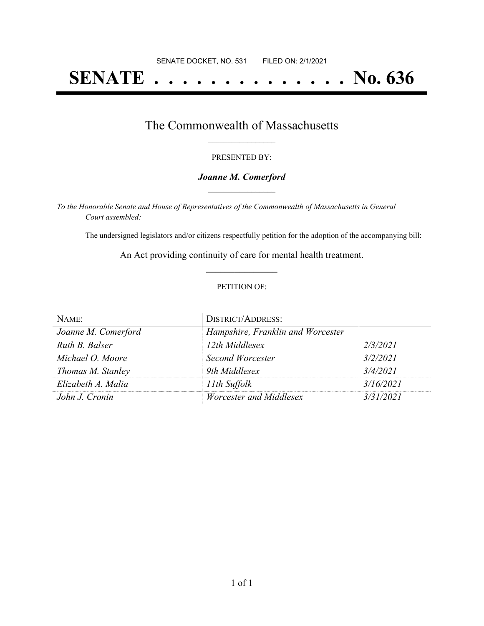# **SENATE . . . . . . . . . . . . . . No. 636**

### The Commonwealth of Massachusetts **\_\_\_\_\_\_\_\_\_\_\_\_\_\_\_\_\_**

#### PRESENTED BY:

#### *Joanne M. Comerford* **\_\_\_\_\_\_\_\_\_\_\_\_\_\_\_\_\_**

*To the Honorable Senate and House of Representatives of the Commonwealth of Massachusetts in General Court assembled:*

The undersigned legislators and/or citizens respectfully petition for the adoption of the accompanying bill:

An Act providing continuity of care for mental health treatment. **\_\_\_\_\_\_\_\_\_\_\_\_\_\_\_**

#### PETITION OF:

| NAME:               | <b>DISTRICT/ADDRESS:</b>          |           |
|---------------------|-----------------------------------|-----------|
| Joanne M. Comerford | Hampshire, Franklin and Worcester |           |
| Ruth B. Balser      | 12th Middlesex                    | 2/3/2021  |
| Michael O. Moore    | Second Worcester                  | 3/2/2021  |
| Thomas M. Stanley   | 9th Middlesex                     | 3/4/2021  |
| Elizabeth A. Malia  | 11th Suffolk                      | 3/16/2021 |
| John J. Cronin      | Worcester and Middlesex           | 3/31/2021 |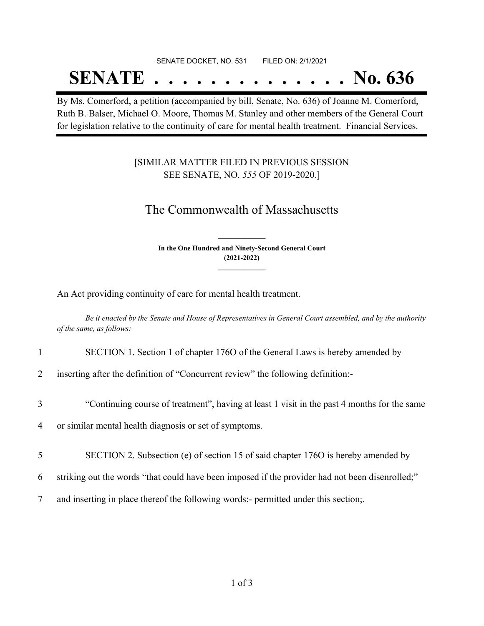## SENATE DOCKET, NO. 531 FILED ON: 2/1/2021

## **SENATE . . . . . . . . . . . . . . No. 636**

By Ms. Comerford, a petition (accompanied by bill, Senate, No. 636) of Joanne M. Comerford, Ruth B. Balser, Michael O. Moore, Thomas M. Stanley and other members of the General Court for legislation relative to the continuity of care for mental health treatment. Financial Services.

### [SIMILAR MATTER FILED IN PREVIOUS SESSION SEE SENATE, NO. *555* OF 2019-2020.]

## The Commonwealth of Massachusetts

**In the One Hundred and Ninety-Second General Court (2021-2022) \_\_\_\_\_\_\_\_\_\_\_\_\_\_\_**

**\_\_\_\_\_\_\_\_\_\_\_\_\_\_\_**

An Act providing continuity of care for mental health treatment.

Be it enacted by the Senate and House of Representatives in General Court assembled, and by the authority *of the same, as follows:*

1 SECTION 1. Section 1 of chapter 176O of the General Laws is hereby amended by

2 inserting after the definition of "Concurrent review" the following definition:-

3 "Continuing course of treatment", having at least 1 visit in the past 4 months for the same

4 or similar mental health diagnosis or set of symptoms.

- 5 SECTION 2. Subsection (e) of section 15 of said chapter 176O is hereby amended by
- 6 striking out the words "that could have been imposed if the provider had not been disenrolled;"
- 7 and inserting in place thereof the following words:- permitted under this section;.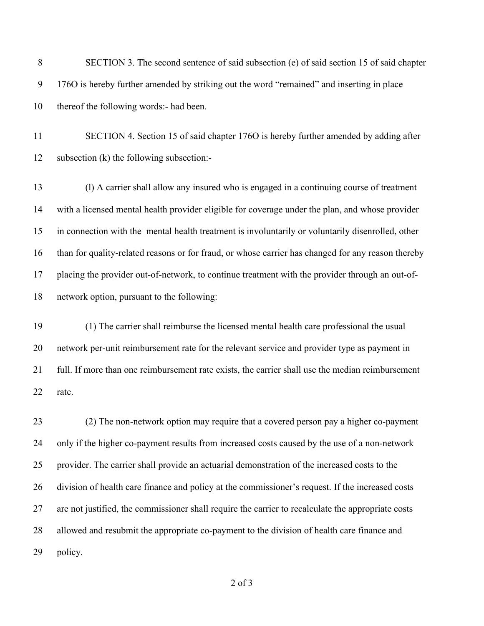SECTION 3. The second sentence of said subsection (e) of said section 15 of said chapter 176O is hereby further amended by striking out the word "remained" and inserting in place thereof the following words:- had been.

 SECTION 4. Section 15 of said chapter 176O is hereby further amended by adding after subsection (k) the following subsection:-

 (l) A carrier shall allow any insured who is engaged in a continuing course of treatment with a licensed mental health provider eligible for coverage under the plan, and whose provider in connection with the mental health treatment is involuntarily or voluntarily disenrolled, other than for quality-related reasons or for fraud, or whose carrier has changed for any reason thereby placing the provider out-of-network, to continue treatment with the provider through an out-of-network option, pursuant to the following:

 (1) The carrier shall reimburse the licensed mental health care professional the usual network per-unit reimbursement rate for the relevant service and provider type as payment in full. If more than one reimbursement rate exists, the carrier shall use the median reimbursement rate.

 (2) The non-network option may require that a covered person pay a higher co-payment only if the higher co-payment results from increased costs caused by the use of a non-network provider. The carrier shall provide an actuarial demonstration of the increased costs to the division of health care finance and policy at the commissioner's request. If the increased costs are not justified, the commissioner shall require the carrier to recalculate the appropriate costs allowed and resubmit the appropriate co-payment to the division of health care finance and policy.

of 3